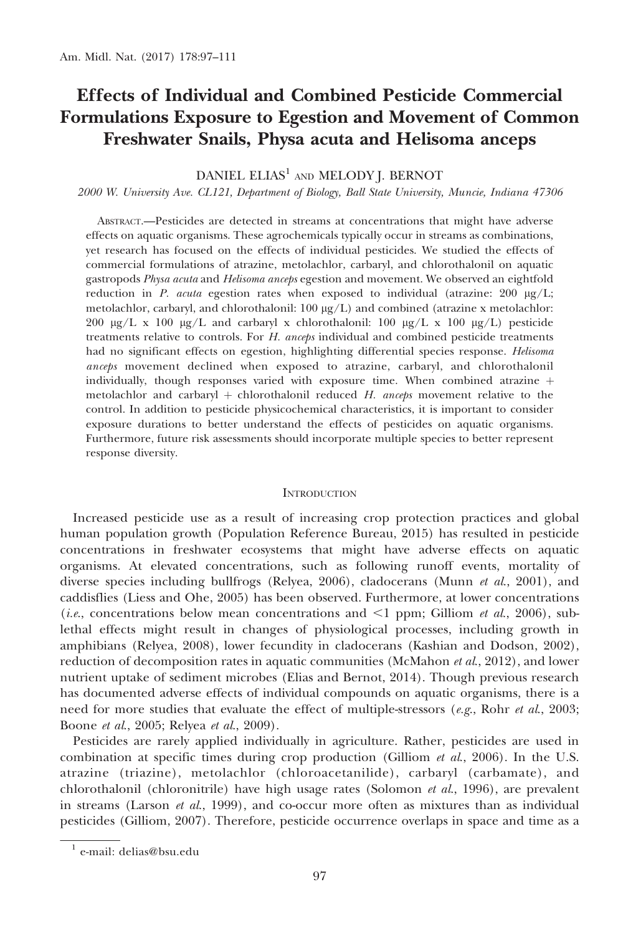# Effects of Individual and Combined Pesticide Commercial Formulations Exposure to Egestion and Movement of Common Freshwater Snails, Physa acuta and Helisoma anceps

# DANIEL ELIAS<sup>1</sup> AND MELODY J. BERNOT

2000 W. University Ave. CL121, Department of Biology, Ball State University, Muncie, Indiana 47306

ABSTRACT.—Pesticides are detected in streams at concentrations that might have adverse effects on aquatic organisms. These agrochemicals typically occur in streams as combinations, yet research has focused on the effects of individual pesticides. We studied the effects of commercial formulations of atrazine, metolachlor, carbaryl, and chlorothalonil on aquatic gastropods Physa acuta and Helisoma anceps egestion and movement. We observed an eightfold reduction in P. acuta egestion rates when exposed to individual (atrazine:  $200 \mu g/L$ ; metolachlor, carbaryl, and chlorothalonil:  $100 \mu g/L$ ) and combined (atrazine x metolachlor: 200  $\mu$ g/L x 100  $\mu$ g/L and carbaryl x chlorothalonil: 100  $\mu$ g/L x 100  $\mu$ g/L) pesticide treatments relative to controls. For H. anceps individual and combined pesticide treatments had no significant effects on egestion, highlighting differential species response. Helisoma anceps movement declined when exposed to atrazine, carbaryl, and chlorothalonil individually, though responses varied with exposure time. When combined atrazine  $+$ metolachlor and carbaryl  $+$  chlorothalonil reduced H. anceps movement relative to the control. In addition to pesticide physicochemical characteristics, it is important to consider exposure durations to better understand the effects of pesticides on aquatic organisms. Furthermore, future risk assessments should incorporate multiple species to better represent response diversity.

### **INTRODUCTION**

Increased pesticide use as a result of increasing crop protection practices and global human population growth (Population Reference Bureau, 2015) has resulted in pesticide concentrations in freshwater ecosystems that might have adverse effects on aquatic organisms. At elevated concentrations, such as following runoff events, mortality of diverse species including bullfrogs (Relyea, 2006), cladocerans (Munn  $et al., 2001$ ), and caddisflies (Liess and Ohe, 2005) has been observed. Furthermore, at lower concentrations (*i.e.*, concentrations below mean concentrations and  $\leq 1$  ppm; Gilliom *et al.*, 2006), sublethal effects might result in changes of physiological processes, including growth in amphibians (Relyea, 2008), lower fecundity in cladocerans (Kashian and Dodson, 2002), reduction of decomposition rates in aquatic communities (McMahon et al., 2012), and lower nutrient uptake of sediment microbes (Elias and Bernot, 2014). Though previous research has documented adverse effects of individual compounds on aquatic organisms, there is a need for more studies that evaluate the effect of multiple-stressors  $(e.g., Rohr \, et \, al., 2003;$ Boone et al., 2005; Relyea et al., 2009).

Pesticides are rarely applied individually in agriculture. Rather, pesticides are used in combination at specific times during crop production (Gilliom  $et al., 2006$ ). In the U.S. atrazine (triazine), metolachlor (chloroacetanilide), carbaryl (carbamate), and chlorothalonil (chloronitrile) have high usage rates (Solomon  $et al., 1996$ ), are prevalent in streams (Larson et al., 1999), and co-occur more often as mixtures than as individual pesticides (Gilliom, 2007). Therefore, pesticide occurrence overlaps in space and time as a

<sup>1</sup> e-mail: delias@bsu.edu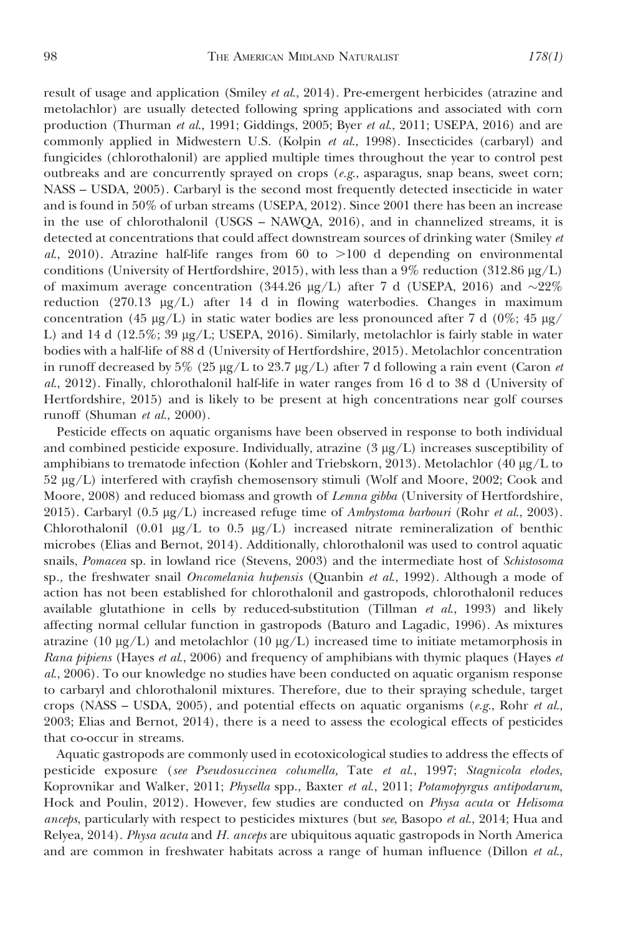result of usage and application (Smiley et al., 2014). Pre-emergent herbicides (atrazine and metolachlor) are usually detected following spring applications and associated with corn production (Thurman et al., 1991; Giddings, 2005; Byer et al., 2011; USEPA, 2016) and are commonly applied in Midwestern U.S. (Kolpin et al., 1998). Insecticides (carbaryl) and fungicides (chlorothalonil) are applied multiple times throughout the year to control pest outbreaks and are concurrently sprayed on crops (e.g., asparagus, snap beans, sweet corn; NASS – USDA, 2005). Carbaryl is the second most frequently detected insecticide in water and is found in 50% of urban streams (USEPA, 2012). Since 2001 there has been an increase in the use of chlorothalonil (USGS – NAWQA, 2016), and in channelized streams, it is detected at concentrations that could affect downstream sources of drinking water (Smiley et al., 2010). Atrazine half-life ranges from 60 to  $>100$  d depending on environmental conditions (University of Hertfordshire, 2015), with less than a 9% reduction (312.86  $\mu$ g/L) of maximum average concentration (344.26  $\mu$ g/L) after 7 d (USEPA, 2016) and ~22% reduction (270.13  $\mu$ g/L) after 14 d in flowing waterbodies. Changes in maximum concentration (45  $\mu$ g/L) in static water bodies are less pronounced after 7 d (0%; 45  $\mu$ g/ L) and 14 d (12.5%; 39  $\mu$ g/L; USEPA, 2016). Similarly, metolachlor is fairly stable in water bodies with a half-life of 88 d (University of Hertfordshire, 2015). Metolachlor concentration in runoff decreased by 5% (25  $\mu$ g/L to 23.7  $\mu$ g/L) after 7 d following a rain event (Caron *et* al., 2012). Finally, chlorothalonil half-life in water ranges from 16 d to 38 d (University of Hertfordshire, 2015) and is likely to be present at high concentrations near golf courses runoff (Shuman et al., 2000).

Pesticide effects on aquatic organisms have been observed in response to both individual and combined pesticide exposure. Individually, atrazine  $(3 \mu g/L)$  increases susceptibility of amphibians to trematode infection (Kohler and Triebskorn, 2013). Metolachlor (40  $\mu$ g/L to 52 lg/L) interfered with crayfish chemosensory stimuli (Wolf and Moore, 2002; Cook and Moore, 2008) and reduced biomass and growth of Lemna gibba (University of Hertfordshire, 2015). Carbaryl (0.5  $\mu$ g/L) increased refuge time of Ambystoma barbouri (Rohr et al., 2003). Chlorothalonil (0.01  $\mu$ g/L to 0.5  $\mu$ g/L) increased nitrate remineralization of benthic microbes (Elias and Bernot, 2014). Additionally, chlorothalonil was used to control aquatic snails, Pomacea sp. in lowland rice (Stevens, 2003) and the intermediate host of Schistosoma sp., the freshwater snail *Oncomelania hupensis* (Quanbin et al., 1992). Although a mode of action has not been established for chlorothalonil and gastropods, chlorothalonil reduces available glutathione in cells by reduced-substitution (Tillman  $et$   $al$ , 1993) and likely affecting normal cellular function in gastropods (Baturo and Lagadic, 1996). As mixtures atrazine (10  $\mu$ g/L) and metolachlor (10  $\mu$ g/L) increased time to initiate metamorphosis in Rana pipiens (Hayes et al., 2006) and frequency of amphibians with thymic plaques (Hayes et al., 2006). To our knowledge no studies have been conducted on aquatic organism response to carbaryl and chlorothalonil mixtures. Therefore, due to their spraying schedule, target crops (NASS – USDA, 2005), and potential effects on aquatic organisms (e.g., Rohr et al., 2003; Elias and Bernot, 2014), there is a need to assess the ecological effects of pesticides that co-occur in streams.

Aquatic gastropods are commonly used in ecotoxicological studies to address the effects of pesticide exposure (see Pseudosuccinea columella, Tate et al., 1997; Stagnicola elodes, Koprovnikar and Walker, 2011; Physella spp., Baxter et al., 2011; Potamopyrgus antipodarum, Hock and Poulin, 2012). However, few studies are conducted on Physa acuta or Helisoma anceps, particularly with respect to pesticides mixtures (but see, Basopo et al., 2014; Hua and Relyea, 2014). Physa acuta and H. anceps are ubiquitous aquatic gastropods in North America and are common in freshwater habitats across a range of human influence (Dillon et al.,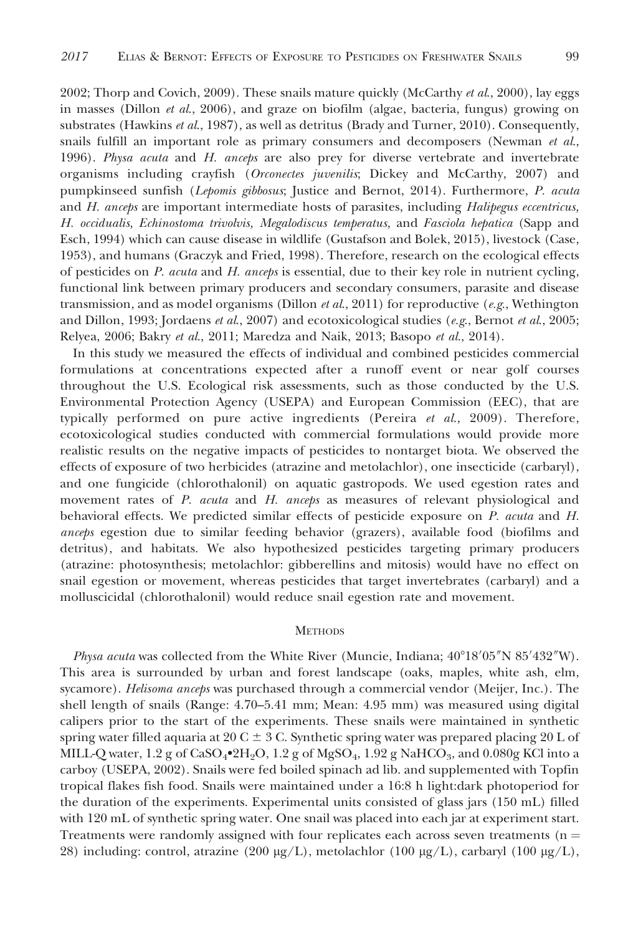2002; Thorp and Covich, 2009). These snails mature quickly (McCarthy et al., 2000), lay eggs in masses (Dillon et al., 2006), and graze on biofilm (algae, bacteria, fungus) growing on substrates (Hawkins et al., 1987), as well as detritus (Brady and Turner, 2010). Consequently, snails fulfill an important role as primary consumers and decomposers (Newman  $et al$ , 1996). Physa acuta and H. anceps are also prey for diverse vertebrate and invertebrate organisms including crayfish (Orconectes juvenilis; Dickey and McCarthy, 2007) and pumpkinseed sunfish (Lepomis gibbosus; Justice and Bernot, 2014). Furthermore, P. acuta and H. anceps are important intermediate hosts of parasites, including Halipegus eccentricus, H. occidualis, Echinostoma trivolvis, Megalodiscus temperatus, and Fasciola hepatica (Sapp and Esch, 1994) which can cause disease in wildlife (Gustafson and Bolek, 2015), livestock (Case, 1953), and humans (Graczyk and Fried, 1998). Therefore, research on the ecological effects of pesticides on P. acuta and H. anceps is essential, due to their key role in nutrient cycling, functional link between primary producers and secondary consumers, parasite and disease transmission, and as model organisms (Dillon *et al.*, 2011) for reproductive (*e.g.*, Wethington and Dillon, 1993; Jordaens et al., 2007) and ecotoxicological studies (e.g., Bernot et al., 2005; Relyea, 2006; Bakry et al., 2011; Maredza and Naik, 2013; Basopo et al., 2014).

In this study we measured the effects of individual and combined pesticides commercial formulations at concentrations expected after a runoff event or near golf courses throughout the U.S. Ecological risk assessments, such as those conducted by the U.S. Environmental Protection Agency (USEPA) and European Commission (EEC), that are typically performed on pure active ingredients (Pereira  $et$   $al$ , 2009). Therefore, ecotoxicological studies conducted with commercial formulations would provide more realistic results on the negative impacts of pesticides to nontarget biota. We observed the effects of exposure of two herbicides (atrazine and metolachlor), one insecticide (carbaryl), and one fungicide (chlorothalonil) on aquatic gastropods. We used egestion rates and movement rates of P. acuta and H. anceps as measures of relevant physiological and behavioral effects. We predicted similar effects of pesticide exposure on P. acuta and H. anceps egestion due to similar feeding behavior (grazers), available food (biofilms and detritus), and habitats. We also hypothesized pesticides targeting primary producers (atrazine: photosynthesis; metolachlor: gibberellins and mitosis) would have no effect on snail egestion or movement, whereas pesticides that target invertebrates (carbaryl) and a molluscicidal (chlorothalonil) would reduce snail egestion rate and movement.

#### **METHODS**

*Physa acuta* was collected from the White River (Muncie, Indiana;  $40^{\circ}18'05''N85'432''W$ ). This area is surrounded by urban and forest landscape (oaks, maples, white ash, elm, sycamore). Helisoma anceps was purchased through a commercial vendor (Meijer, Inc.). The shell length of snails (Range: 4.70–5.41 mm; Mean: 4.95 mm) was measured using digital calipers prior to the start of the experiments. These snails were maintained in synthetic spring water filled aquaria at 20 C  $\pm$  3 C. Synthetic spring water was prepared placing 20 L of MILL-Q water,  $1.2$  g of CaSO4 $\cdot$ 2H<sub>2</sub>O,  $1.2$  g of MgSO<sub>4</sub>,  $1.92$  g NaHCO<sub>3</sub>, and  $0.080$ g KCl into a carboy (USEPA, 2002). Snails were fed boiled spinach ad lib. and supplemented with Topfin tropical flakes fish food. Snails were maintained under a 16:8 h light:dark photoperiod for the duration of the experiments. Experimental units consisted of glass jars (150 mL) filled with 120 mL of synthetic spring water. One snail was placed into each jar at experiment start. Treatments were randomly assigned with four replicates each across seven treatments ( $n =$ 28) including: control, atrazine (200  $\mu$ g/L), metolachlor (100  $\mu$ g/L), carbaryl (100  $\mu$ g/L),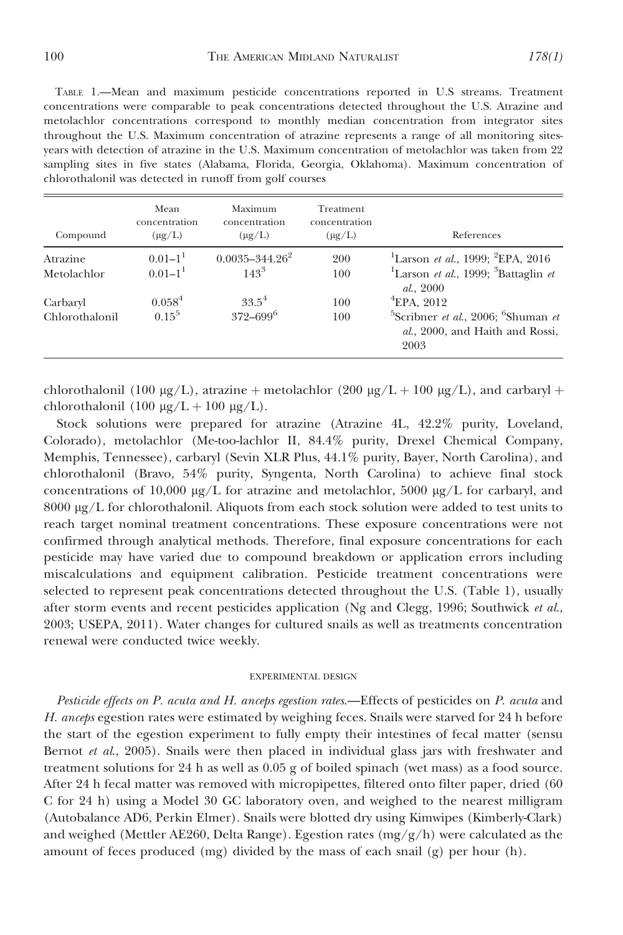TABLE 1.—Mean and maximum pesticide concentrations reported in U.S streams. Treatment concentrations were comparable to peak concentrations detected throughout the U.S. Atrazine and metolachlor concentrations correspond to monthly median concentration from integrator sites throughout the U.S. Maximum concentration of atrazine represents a range of all monitoring sitesyears with detection of atrazine in the U.S. Maximum concentration of metolachlor was taken from 22 sampling sites in five states (Alabama, Florida, Georgia, Oklahoma). Maximum concentration of chlorothalonil was detected in runoff from golf courses

| Compound       | Mean<br>concentration<br>$(\mu g/L)$ | Maximum<br>concentration<br>$(\mu g/L)$ | Treatment<br>concentration<br>$(\mu g/L)$ | References                                                                                   |
|----------------|--------------------------------------|-----------------------------------------|-------------------------------------------|----------------------------------------------------------------------------------------------|
| Atrazine       | $0.01 - 11$                          | $0.0035 - 344.26^2$                     | 200                                       | <sup>1</sup> Larson et al., 1999; <sup>2</sup> EPA, 2016                                     |
| Metolachlor    | $0.01 - 11$                          | $143^3$                                 | 100                                       | <sup>1</sup> Larson et al., 1999; ${}^{3}$ Battaglin et<br>al., 2000                         |
| Carbaryl       | $0.058^4$                            | $33.5^4$                                | 100                                       | $\mathrm{^{4}EPA}$ , 2012                                                                    |
| Chlorothalonil | $0.15^5$                             | $372 - 699$ <sup>6</sup>                | 100                                       | <sup>5</sup> Scribner et al., 2006; $6$ Shuman et<br>al., 2000, and Haith and Rossi,<br>2003 |

chlorothalonil (100  $\mu$ g/L), atrazine + metolachlor (200  $\mu$ g/L + 100  $\mu$ g/L), and carbaryl + chlorothalonil (100  $\mu$ g/L + 100  $\mu$ g/L).

Stock solutions were prepared for atrazine (Atrazine 4L, 42.2% purity, Loveland, Colorado), metolachlor (Me-too-lachlor II, 84.4% purity, Drexel Chemical Company, Memphis, Tennessee), carbaryl (Sevin XLR Plus, 44.1% purity, Bayer, North Carolina), and chlorothalonil (Bravo, 54% purity, Syngenta, North Carolina) to achieve final stock concentrations of 10,000  $\mu$ g/L for atrazine and metolachlor, 5000  $\mu$ g/L for carbaryl, and  $8000 \mu g/L$  for chlorothalonil. Aliquots from each stock solution were added to test units to reach target nominal treatment concentrations. These exposure concentrations were not confirmed through analytical methods. Therefore, final exposure concentrations for each pesticide may have varied due to compound breakdown or application errors including miscalculations and equipment calibration. Pesticide treatment concentrations were selected to represent peak concentrations detected throughout the U.S. (Table 1), usually after storm events and recent pesticides application (Ng and Clegg, 1996; Southwick et al., 2003; USEPA, 2011). Water changes for cultured snails as well as treatments concentration renewal were conducted twice weekly.

#### EXPERIMENTAL DESIGN

Pesticide effects on P. acuta and H. anceps egestion rates.—Effects of pesticides on P. acuta and H. anceps egestion rates were estimated by weighing feces. Snails were starved for 24 h before the start of the egestion experiment to fully empty their intestines of fecal matter (sensu Bernot *et al.*, 2005). Snails were then placed in individual glass jars with freshwater and treatment solutions for 24 h as well as 0.05 g of boiled spinach (wet mass) as a food source. After 24 h fecal matter was removed with micropipettes, filtered onto filter paper, dried (60 C for 24 h) using a Model 30 GC laboratory oven, and weighed to the nearest milligram (Autobalance AD6, Perkin Elmer). Snails were blotted dry using Kimwipes (Kimberly-Clark) and weighed (Mettler AE260, Delta Range). Egestion rates  $(mg/g/h)$  were calculated as the amount of feces produced (mg) divided by the mass of each snail (g) per hour (h).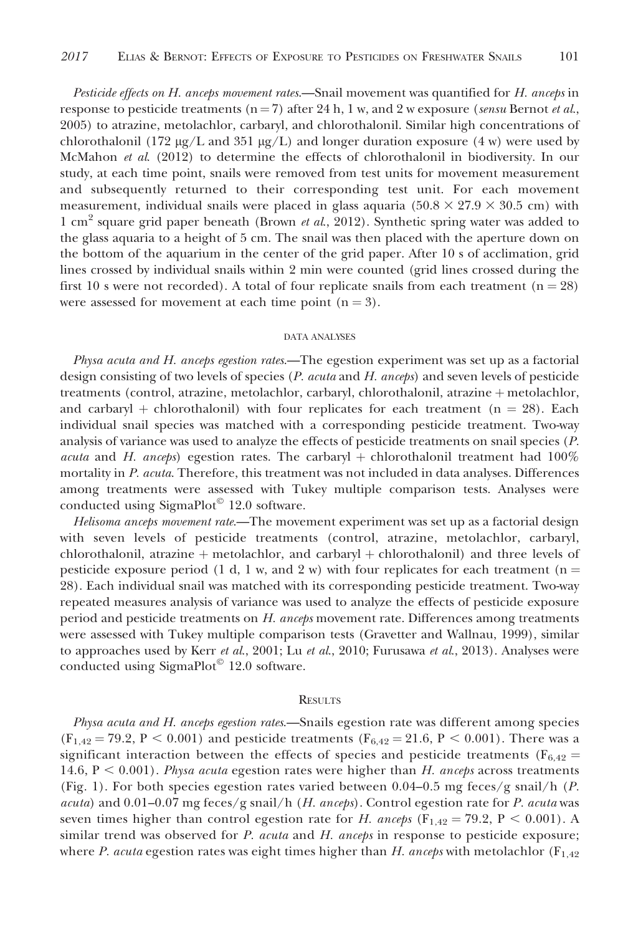Pesticide effects on H. anceps movement rates.—Snail movement was quantified for H. anceps in response to pesticide treatments ( $n=7$ ) after 24 h, 1 w, and 2 w exposure (sensu Bernot et al., 2005) to atrazine, metolachlor, carbaryl, and chlorothalonil. Similar high concentrations of chlorothalonil (172  $\mu$ g/L and 351  $\mu$ g/L) and longer duration exposure (4 w) were used by McMahon et al. (2012) to determine the effects of chlorothalonil in biodiversity. In our study, at each time point, snails were removed from test units for movement measurement and subsequently returned to their corresponding test unit. For each movement measurement, individual snails were placed in glass aquaria  $(50.8 \times 27.9 \times 30.5 \text{ cm})$  with 1 cm<sup>2</sup> square grid paper beneath (Brown *et al.*, 2012). Synthetic spring water was added to the glass aquaria to a height of 5 cm. The snail was then placed with the aperture down on the bottom of the aquarium in the center of the grid paper. After 10 s of acclimation, grid lines crossed by individual snails within 2 min were counted (grid lines crossed during the first 10 s were not recorded). A total of four replicate snails from each treatment ( $n = 28$ ) were assessed for movement at each time point  $(n = 3)$ .

#### DATA ANALYSES

Physa acuta and H. anceps egestion rates.—The egestion experiment was set up as a factorial design consisting of two levels of species (*P. acuta* and *H. anceps*) and seven levels of pesticide treatments (control, atrazine, metolachlor, carbaryl, chlorothalonil, atrazine + metolachlor, and carbaryl + chlorothalonil) with four replicates for each treatment ( $n = 28$ ). Each individual snail species was matched with a corresponding pesticide treatment. Two-way analysis of variance was used to analyze the effects of pesticide treatments on snail species (P. *acuta* and H. anceps) egestion rates. The carbaryl  $+$  chlorothalonil treatment had  $100\%$ mortality in P. acuta. Therefore, this treatment was not included in data analyses. Differences among treatments were assessed with Tukey multiple comparison tests. Analyses were conducted using SigmaPlot<sup>©</sup> 12.0 software.

Helisoma anceps movement rate.—The movement experiment was set up as a factorial design with seven levels of pesticide treatments (control, atrazine, metolachlor, carbaryl, chlorothalonil, atrazine  $+$  metolachlor, and carbaryl  $+$  chlorothalonil) and three levels of pesticide exposure period (1 d, 1 w, and 2 w) with four replicates for each treatment ( $n =$ 28). Each individual snail was matched with its corresponding pesticide treatment. Two-way repeated measures analysis of variance was used to analyze the effects of pesticide exposure period and pesticide treatments on H. anceps movement rate. Differences among treatments were assessed with Tukey multiple comparison tests (Gravetter and Wallnau, 1999), similar to approaches used by Kerr et al., 2001; Lu et al., 2010; Furusawa et al., 2013). Analyses were conducted using SigmaPlot<sup>©</sup> 12.0 software.

#### **RESULTS**

Physa acuta and H. anceps egestion rates.—Snails egestion rate was different among species  $(F_{1,42} = 79.2, P \le 0.001)$  and pesticide treatments  $(F_{6,42} = 21.6, P \le 0.001)$ . There was a significant interaction between the effects of species and pesticide treatments ( $F_{6,42}$  = 14.6,  $P \le 0.001$ ). Physa acuta egestion rates were higher than H. anceps across treatments (Fig. 1). For both species egestion rates varied between 0.04–0.5 mg feces/g snail/h (P. acuta) and  $0.01-0.07$  mg feces/g snail/h (H. anceps). Control egestion rate for P. acuta was seven times higher than control egestion rate for H. anceps ( $F_{1,42} = 79.2$ ,  $P < 0.001$ ). A similar trend was observed for P. acuta and H. anceps in response to pesticide exposure; where P. acuta egestion rates was eight times higher than H. anceps with metolachlor  $(F_{1,42})$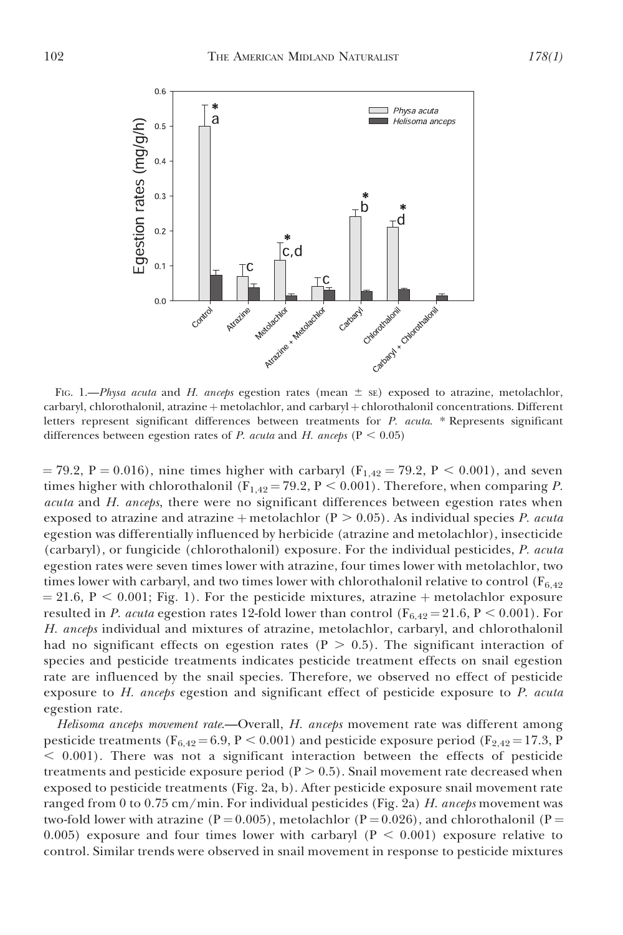

FIG. 1.—*Physa acuta* and *H. anceps* egestion rates (mean  $\pm$  sE) exposed to atrazine, metolachlor, carbaryl, chlorothalonil, atrazine + metolachlor, and carbaryl + chlorothalonil concentrations. Different letters represent significant differences between treatments for P. acuta. \* Represents significant differences between egestion rates of P. acuta and H. anceps ( $P < 0.05$ )

 $= 79.2$ , P  $= 0.016$ ), nine times higher with carbaryl (F<sub>1,42</sub>  $= 79.2$ , P  $< 0.001$ ), and seven times higher with chlorothalonil ( $F_{1,42} = 79.2$ ,  $P < 0.001$ ). Therefore, when comparing P. acuta and H. anceps, there were no significant differences between egestion rates when exposed to atrazine and atrazine  $+$  metolachlor (P  $> 0.05$ ). As individual species P. acuta egestion was differentially influenced by herbicide (atrazine and metolachlor), insecticide (carbaryl), or fungicide (chlorothalonil) exposure. For the individual pesticides, P. acuta egestion rates were seven times lower with atrazine, four times lower with metolachlor, two times lower with carbaryl, and two times lower with chlorothalonil relative to control  $(F_{6,42})$  $= 21.6, P < 0.001$ ; Fig. 1). For the pesticide mixtures, atrazine + metolachlor exposure resulted in P. acuta egestion rates 12-fold lower than control ( $F_{6,42} = 21.6$ , P < 0.001). For H. anceps individual and mixtures of atrazine, metolachlor, carbaryl, and chlorothalonil had no significant effects on egestion rates ( $P > 0.5$ ). The significant interaction of species and pesticide treatments indicates pesticide treatment effects on snail egestion rate are influenced by the snail species. Therefore, we observed no effect of pesticide exposure to  $H$ . anceps egestion and significant effect of pesticide exposure to  $P$ . acuta egestion rate.

Helisoma anceps movement rate.—Overall, H. anceps movement rate was different among pesticide treatments ( $F_{6,42} = 6.9$ , P < 0.001) and pesticide exposure period ( $F_{2,42} = 17.3$ , P  $<$  0.001). There was not a significant interaction between the effects of pesticide treatments and pesticide exposure period ( $P > 0.5$ ). Snail movement rate decreased when exposed to pesticide treatments (Fig. 2a, b). After pesticide exposure snail movement rate ranged from 0 to 0.75 cm/min. For individual pesticides (Fig. 2a) H. anceps movement was two-fold lower with atrazine (P = 0.005), metolachlor (P = 0.026), and chlorothalonil (P = 0.005) exposure and four times lower with carbaryl ( $P < 0.001$ ) exposure relative to control. Similar trends were observed in snail movement in response to pesticide mixtures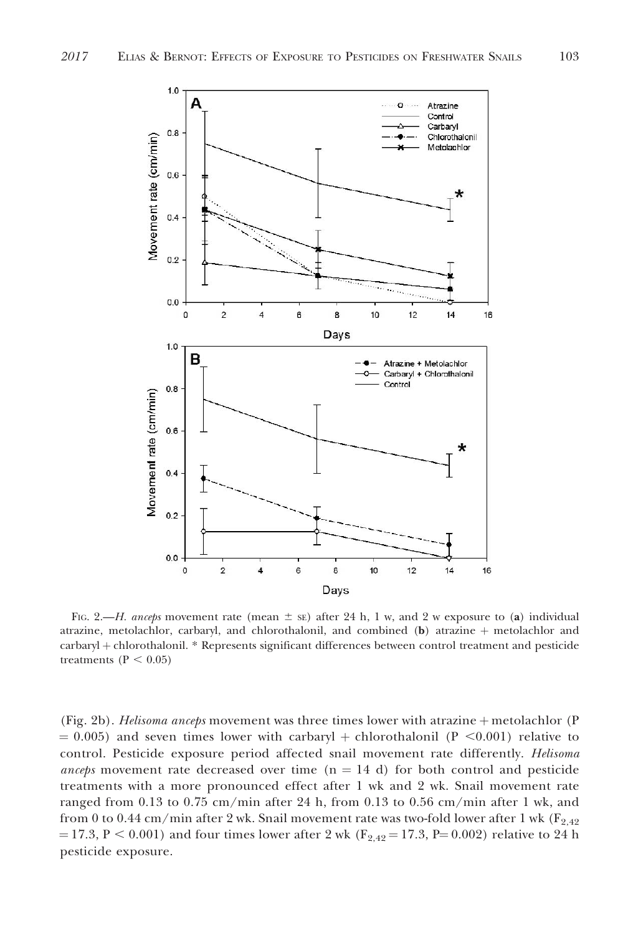

FIG. 2.—H. anceps movement rate (mean  $\pm$  se) after 24 h, 1 w, and 2 w exposure to (a) individual atrazine, metolachlor, carbaryl, and chlorothalonil, and combined (b) atrazine  $+$  metolachlor and carbaryl + chlorothalonil. \* Represents significant differences between control treatment and pesticide treatments ( $P < 0.05$ )

(Fig. 2b). Helisoma anceps movement was three times lower with atrazine  $+$  metolachlor (P  $= 0.005$ ) and seven times lower with carbaryl + chlorothalonil (P <0.001) relative to control. Pesticide exposure period affected snail movement rate differently. Helisoma *anceps* movement rate decreased over time  $(n = 14 d)$  for both control and pesticide treatments with a more pronounced effect after 1 wk and 2 wk. Snail movement rate ranged from 0.13 to 0.75 cm/min after 24 h, from 0.13 to 0.56 cm/min after 1 wk, and from 0 to 0.44 cm/min after 2 wk. Snail movement rate was two-fold lower after 1 wk ( $F_{2,42}$ )  $= 17.3, P < 0.001$ ) and four times lower after 2 wk (F<sub>2,42</sub> = 17.3, P= 0.002) relative to 24 h pesticide exposure.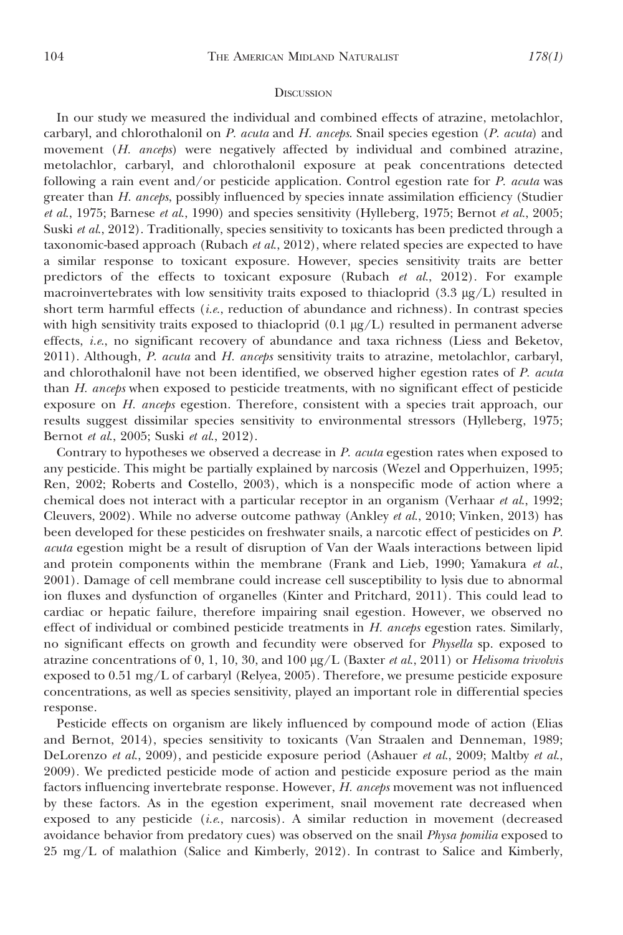#### **DISCUSSION**

In our study we measured the individual and combined effects of atrazine, metolachlor, carbaryl, and chlorothalonil on P. acuta and H. anceps. Snail species egestion (P. acuta) and movement (H. anceps) were negatively affected by individual and combined atrazine, metolachlor, carbaryl, and chlorothalonil exposure at peak concentrations detected following a rain event and/or pesticide application. Control egestion rate for P. acuta was greater than H. anceps, possibly influenced by species innate assimilation efficiency (Studier et al., 1975; Barnese et al., 1990) and species sensitivity (Hylleberg, 1975; Bernot et al., 2005; Suski *et al.*, 2012). Traditionally, species sensitivity to toxicants has been predicted through a taxonomic-based approach (Rubach  $et$   $al$ , 2012), where related species are expected to have a similar response to toxicant exposure. However, species sensitivity traits are better predictors of the effects to toxicant exposure (Rubach et al., 2012). For example macroinvertebrates with low sensitivity traits exposed to thiacloprid  $(3.3 \mu g/L)$  resulted in short term harmful effects  $(i.e.,$  reduction of abundance and richness). In contrast species with high sensitivity traits exposed to thiacloprid  $(0.1 \mu g/L)$  resulted in permanent adverse effects, i.e., no significant recovery of abundance and taxa richness (Liess and Beketov, 2011). Although, P. acuta and H. anceps sensitivity traits to atrazine, metolachlor, carbaryl, and chlorothalonil have not been identified, we observed higher egestion rates of P. acuta than H. anceps when exposed to pesticide treatments, with no significant effect of pesticide exposure on H. anceps egestion. Therefore, consistent with a species trait approach, our results suggest dissimilar species sensitivity to environmental stressors (Hylleberg, 1975; Bernot et al., 2005; Suski et al., 2012).

Contrary to hypotheses we observed a decrease in P. acuta egestion rates when exposed to any pesticide. This might be partially explained by narcosis (Wezel and Opperhuizen, 1995; Ren, 2002; Roberts and Costello, 2003), which is a nonspecific mode of action where a chemical does not interact with a particular receptor in an organism (Verhaar et al., 1992; Cleuvers, 2002). While no adverse outcome pathway (Ankley et al., 2010; Vinken, 2013) has been developed for these pesticides on freshwater snails, a narcotic effect of pesticides on P. acuta egestion might be a result of disruption of Van der Waals interactions between lipid and protein components within the membrane (Frank and Lieb, 1990; Yamakura et al., 2001). Damage of cell membrane could increase cell susceptibility to lysis due to abnormal ion fluxes and dysfunction of organelles (Kinter and Pritchard, 2011). This could lead to cardiac or hepatic failure, therefore impairing snail egestion. However, we observed no effect of individual or combined pesticide treatments in  $H$ . anceps egestion rates. Similarly, no significant effects on growth and fecundity were observed for Physella sp. exposed to atrazine concentrations of 0, 1, 10, 30, and 100  $\mu g/L$  (Baxter *et al.*, 2011) or *Helisoma trivolvis* exposed to 0.51 mg/L of carbaryl (Relyea, 2005). Therefore, we presume pesticide exposure concentrations, as well as species sensitivity, played an important role in differential species response.

Pesticide effects on organism are likely influenced by compound mode of action (Elias and Bernot, 2014), species sensitivity to toxicants (Van Straalen and Denneman, 1989; DeLorenzo et al., 2009), and pesticide exposure period (Ashauer et al., 2009; Maltby et al., 2009). We predicted pesticide mode of action and pesticide exposure period as the main factors influencing invertebrate response. However, H. anceps movement was not influenced by these factors. As in the egestion experiment, snail movement rate decreased when exposed to any pesticide (i.e., narcosis). A similar reduction in movement (decreased avoidance behavior from predatory cues) was observed on the snail Physa pomilia exposed to 25 mg/L of malathion (Salice and Kimberly, 2012). In contrast to Salice and Kimberly,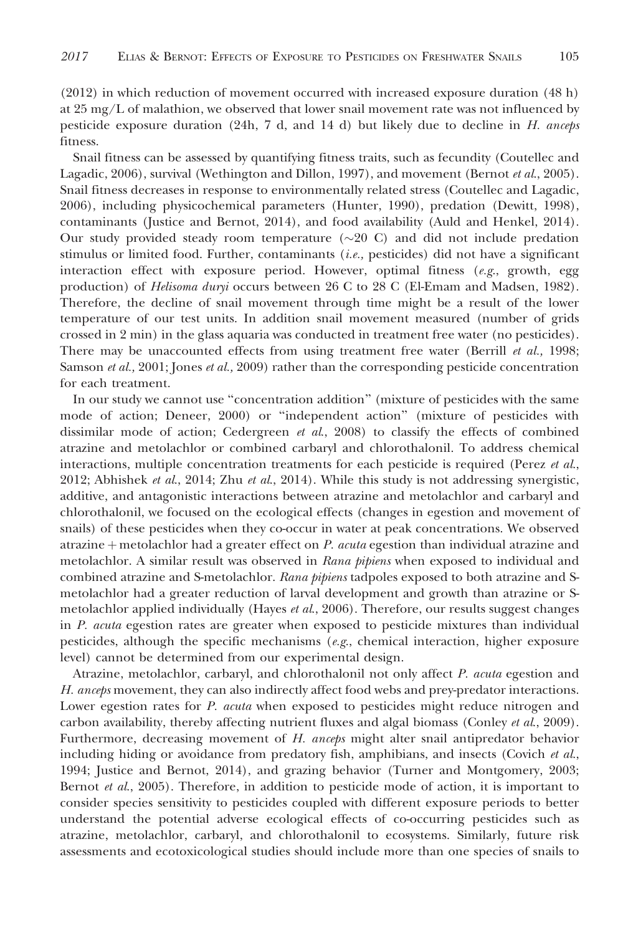(2012) in which reduction of movement occurred with increased exposure duration (48 h) at  $25 \text{ mg/L}$  of malathion, we observed that lower snail movement rate was not influenced by pesticide exposure duration  $(24h, 7 d, and 14 d)$  but likely due to decline in H. anceps fitness.

Snail fitness can be assessed by quantifying fitness traits, such as fecundity (Coutellec and Lagadic, 2006), survival (Wethington and Dillon, 1997), and movement (Bernot et al., 2005). Snail fitness decreases in response to environmentally related stress (Coutellec and Lagadic, 2006), including physicochemical parameters (Hunter, 1990), predation (Dewitt, 1998), contaminants (Justice and Bernot, 2014), and food availability (Auld and Henkel, 2014). Our study provided steady room temperature  $(\sim 20 \text{ C})$  and did not include predation stimulus or limited food. Further, contaminants  $(i.e.,$  pesticides) did not have a significant interaction effect with exposure period. However, optimal fitness  $(e.g.,$  growth, egg production) of *Helisoma duryi* occurs between 26 C to 28 C (El-Emam and Madsen, 1982). Therefore, the decline of snail movement through time might be a result of the lower temperature of our test units. In addition snail movement measured (number of grids crossed in 2 min) in the glass aquaria was conducted in treatment free water (no pesticides). There may be unaccounted effects from using treatment free water (Berrill *et al.*, 1998; Samson et al., 2001; Jones et al., 2009) rather than the corresponding pesticide concentration for each treatment.

In our study we cannot use ''concentration addition'' (mixture of pesticides with the same mode of action; Deneer, 2000) or ''independent action'' (mixture of pesticides with dissimilar mode of action; Cedergreen et al.,  $2008$ ) to classify the effects of combined atrazine and metolachlor or combined carbaryl and chlorothalonil. To address chemical interactions, multiple concentration treatments for each pesticide is required (Perez et al., 2012; Abhishek et al., 2014; Zhu et al., 2014). While this study is not addressing synergistic, additive, and antagonistic interactions between atrazine and metolachlor and carbaryl and chlorothalonil, we focused on the ecological effects (changes in egestion and movement of snails) of these pesticides when they co-occur in water at peak concentrations. We observed atrazine  $+$  metolachlor had a greater effect on P. acuta egestion than individual atrazine and metolachlor. A similar result was observed in Rana pipiens when exposed to individual and combined atrazine and S-metolachlor. Rana pipiens tadpoles exposed to both atrazine and Smetolachlor had a greater reduction of larval development and growth than atrazine or Smetolachlor applied individually (Hayes et al., 2006). Therefore, our results suggest changes in P. acuta egestion rates are greater when exposed to pesticide mixtures than individual pesticides, although the specific mechanisms ( $e.g.,$  chemical interaction, higher exposure level) cannot be determined from our experimental design.

Atrazine, metolachlor, carbaryl, and chlorothalonil not only affect P. acuta egestion and H. anceps movement, they can also indirectly affect food webs and prey-predator interactions. Lower egestion rates for P. acuta when exposed to pesticides might reduce nitrogen and carbon availability, thereby affecting nutrient fluxes and algal biomass (Conley *et al.*, 2009). Furthermore, decreasing movement of H. anceps might alter snail antipredator behavior including hiding or avoidance from predatory fish, amphibians, and insects (Covich et al., 1994; Justice and Bernot, 2014), and grazing behavior (Turner and Montgomery, 2003; Bernot *et al.*, 2005). Therefore, in addition to pesticide mode of action, it is important to consider species sensitivity to pesticides coupled with different exposure periods to better understand the potential adverse ecological effects of co-occurring pesticides such as atrazine, metolachlor, carbaryl, and chlorothalonil to ecosystems. Similarly, future risk assessments and ecotoxicological studies should include more than one species of snails to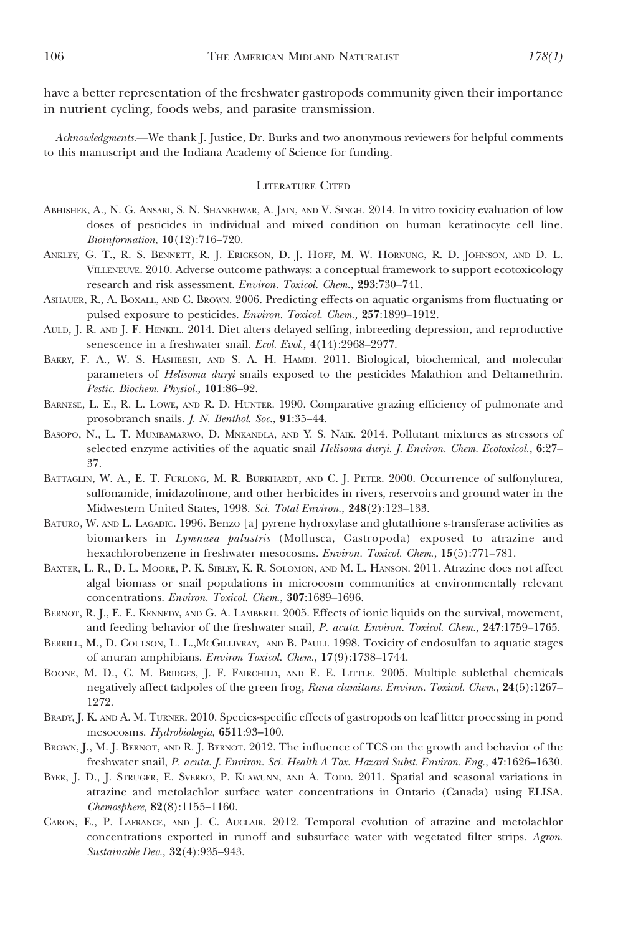have a better representation of the freshwater gastropods community given their importance in nutrient cycling, foods webs, and parasite transmission.

Acknowledgments.—We thank J. Justice, Dr. Burks and two anonymous reviewers for helpful comments to this manuscript and the Indiana Academy of Science for funding.

## LITERATURE CITED

- ABHISHEK, A., N. G. ANSARI, S. N. SHANKHWAR, A. JAIN, AND V. SINGH. 2014. In vitro toxicity evaluation of low doses of pesticides in individual and mixed condition on human keratinocyte cell line. Bioinformation, 10(12):716–720.
- ANKLEY, G. T., R. S. BENNETT, R. J. ERICKSON, D. J. HOFF, M. W. HORNUNG, R. D. JOHNSON, AND D. L. VILLENEUVE. 2010. Adverse outcome pathways: a conceptual framework to support ecotoxicology research and risk assessment. Environ. Toxicol. Chem., 293:730–741.
- ASHAUER, R., A. BOXALL, AND C. BROWN. 2006. Predicting effects on aquatic organisms from fluctuating or pulsed exposure to pesticides. Environ. Toxicol. Chem., 257:1899–1912.
- AULD, J. R. AND J. F. HENKEL. 2014. Diet alters delayed selfing, inbreeding depression, and reproductive senescence in a freshwater snail. Ecol. Evol., 4(14):2968–2977.
- BAKRY, F. A., W. S. HASHEESH, AND S. A. H. HAMDI. 2011. Biological, biochemical, and molecular parameters of Helisoma duryi snails exposed to the pesticides Malathion and Deltamethrin. Pestic. Biochem. Physiol., 101:86–92.
- BARNESE, L. E., R. L. LOWE, AND R. D. HUNTER. 1990. Comparative grazing efficiency of pulmonate and prosobranch snails. J. N. Benthol. Soc., 91:35–44.
- BASOPO, N., L. T. MUMBAMARWO, D. MNKANDLA, AND Y. S. NAIK. 2014. Pollutant mixtures as stressors of selected enzyme activities of the aquatic snail Helisoma duryi. J. Environ. Chem. Ecotoxicol., 6:27– 37.
- BATTAGLIN, W. A., E. T. FURLONG, M. R. BURKHARDT, AND C. J. PETER. 2000. Occurrence of sulfonylurea, sulfonamide, imidazolinone, and other herbicides in rivers, reservoirs and ground water in the Midwestern United States, 1998. Sci. Total Environ., 248(2):123–133.
- BATURO, W. AND L. LAGADIC. 1996. Benzo [a] pyrene hydroxylase and glutathione s-transferase activities as biomarkers in Lymnaea palustris (Mollusca, Gastropoda) exposed to atrazine and hexachlorobenzene in freshwater mesocosms. Environ. Toxicol. Chem., 15(5):771–781.
- BAXTER, L. R., D. L. MOORE, P. K. SIBLEY, K. R. SOLOMON, AND M. L. HANSON. 2011. Atrazine does not affect algal biomass or snail populations in microcosm communities at environmentally relevant concentrations. Environ. Toxicol. Chem., 307:1689–1696.
- BERNOT, R. J., E. E. KENNEDY, AND G. A. LAMBERTI. 2005. Effects of ionic liquids on the survival, movement, and feeding behavior of the freshwater snail, P. acuta. Environ. Toxicol. Chem., 247:1759–1765.
- BERRILL, M., D. COULSON, L. L.,MCGILLIVRAY, AND B. PAULI. 1998. Toxicity of endosulfan to aquatic stages of anuran amphibians. Environ Toxicol. Chem., 17(9):1738–1744.
- BOONE, M. D., C. M. BRIDGES, J. F. FAIRCHILD, AND E. E. LITTLE. 2005. Multiple sublethal chemicals negatively affect tadpoles of the green frog, Rana clamitans. Environ. Toxicol. Chem., 24(5):1267-1272.
- BRADY, J. K. AND A. M. TURNER. 2010. Species-specific effects of gastropods on leaf litter processing in pond mesocosms. Hydrobiologia, 6511:93–100.
- BROWN, J., M. J. BERNOT, AND R. J. BERNOT. 2012. The influence of TCS on the growth and behavior of the freshwater snail, P. acuta. J. Environ. Sci. Health A Tox. Hazard Subst. Environ. Eng., 47:1626–1630.
- BYER, J. D., J. STRUGER, E. SVERKO, P. KLAWUNN, AND A. TODD. 2011. Spatial and seasonal variations in atrazine and metolachlor surface water concentrations in Ontario (Canada) using ELISA. Chemosphere, 82(8):1155–1160.
- CARON, E., P. LAFRANCE, AND J. C. AUCLAIR. 2012. Temporal evolution of atrazine and metolachlor concentrations exported in runoff and subsurface water with vegetated filter strips. Agron. Sustainable Dev., 32(4):935–943.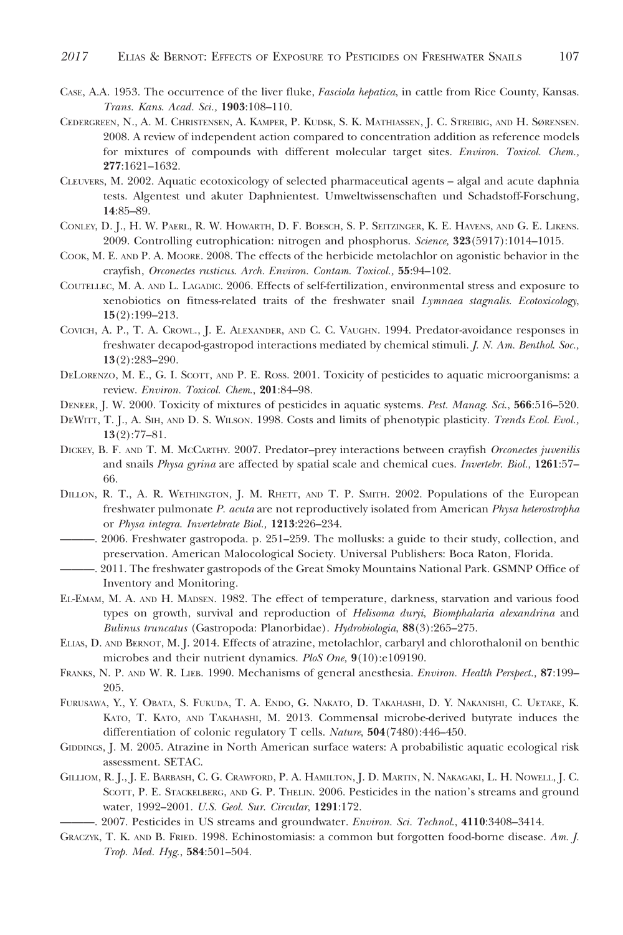- CASE, A.A. 1953. The occurrence of the liver fluke, Fasciola hepatica, in cattle from Rice County, Kansas. Trans. Kans. Acad. Sci., 1903:108–110.
- CEDERGREEN, N., A. M. CHRISTENSEN, A. KAMPER, P. KUDSK, S. K. MATHIASSEN, J. C. STREIBIG, AND H. SØRENSEN. 2008. A review of independent action compared to concentration addition as reference models for mixtures of compounds with different molecular target sites. Environ. Toxicol. Chem., 277:1621–1632.
- CLEUVERS, M. 2002. Aquatic ecotoxicology of selected pharmaceutical agents algal and acute daphnia tests. Algentest und akuter Daphnientest. Umweltwissenschaften und Schadstoff-Forschung, 14:85–89.
- CONLEY, D. J., H. W. PAERL, R. W. HOWARTH, D. F. BOESCH, S. P. SEITZINGER, K. E. HAVENS, AND G. E. LIKENS. 2009. Controlling eutrophication: nitrogen and phosphorus. Science, 323(5917):1014–1015.
- COOK, M. E. AND P. A. MOORE. 2008. The effects of the herbicide metolachlor on agonistic behavior in the crayfish, Orconectes rusticus. Arch. Environ. Contam. Toxicol., 55:94–102.
- COUTELLEC, M. A. AND L. LAGADIC. 2006. Effects of self-fertilization, environmental stress and exposure to xenobiotics on fitness-related traits of the freshwater snail Lymnaea stagnalis. Ecotoxicology, 15(2):199–213.
- COVICH, A. P., T. A. CROWL., J. E. ALEXANDER, AND C. C. VAUGHN. 1994. Predator-avoidance responses in freshwater decapod-gastropod interactions mediated by chemical stimuli. J. N. Am. Benthol. Soc., 13(2):283–290.
- DELORENZO, M. E., G. I. SCOTT, AND P. E. ROSS. 2001. Toxicity of pesticides to aquatic microorganisms: a review. Environ. Toxicol. Chem., 201:84–98.
- DENEER, J. W. 2000. Toxicity of mixtures of pesticides in aquatic systems. Pest. Manag. Sci., 566:516–520.
- DEWITT, T. J., A. SIH, AND D. S. WILSON. 1998. Costs and limits of phenotypic plasticity. Trends Ecol. Evol.,  $13(2):77-81.$
- DICKEY, B. F. AND T. M. MCCARTHY. 2007. Predator–prey interactions between crayfish Orconectes juvenilis and snails *Physa gyrina* are affected by spatial scale and chemical cues. *Invertebr. Biol.*, 1261:57– 66.
- DILLON, R. T., A. R. WETHINGTON, J. M. RHETT, AND T. P. SMITH. 2002. Populations of the European freshwater pulmonate P. acuta are not reproductively isolated from American Physa heterostropha or Physa integra. Invertebrate Biol., 1213:226–234.
- ———. 2006. Freshwater gastropoda. p. 251–259. The mollusks: a guide to their study, collection, and preservation. American Malocological Society. Universal Publishers: Boca Raton, Florida.
- ———. 2011. The freshwater gastropods of the Great Smoky Mountains National Park. GSMNP Office of Inventory and Monitoring.
- EL-EMAM, M. A. AND H. MADSEN. 1982. The effect of temperature, darkness, starvation and various food types on growth, survival and reproduction of Helisoma duryi, Biomphalaria alexandrina and Bulinus truncatus (Gastropoda: Planorbidae). Hydrobiologia, 88(3):265–275.
- ELIAS, D. AND BERNOT, M. J. 2014. Effects of atrazine, metolachlor, carbaryl and chlorothalonil on benthic microbes and their nutrient dynamics. PloS One, 9(10):e109190.
- FRANKS, N. P. AND W. R. LIEB. 1990. Mechanisms of general anesthesia. Environ. Health Perspect., 87:199– 205.
- FURUSAWA, Y., Y. OBATA, S. FUKUDA, T. A. ENDO, G. NAKATO, D. TAKAHASHI, D. Y. NAKANISHI, C. UETAKE, K. KATO, T. KATO, AND TAKAHASHI, M. 2013. Commensal microbe-derived butyrate induces the differentiation of colonic regulatory T cells. Nature, 504(7480):446–450.
- GIDDINGS, J. M. 2005. Atrazine in North American surface waters: A probabilistic aquatic ecological risk assessment. SETAC.
- GILLIOM, R. J., J. E. BARBASH, C. G. CRAWFORD, P. A. HAMILTON, J. D. MARTIN, N. NAKAGAKI, L. H. NOWELL, J. C. SCOTT, P. E. STACKELBERG, AND G. P. THELIN. 2006. Pesticides in the nation's streams and ground water, 1992–2001. U.S. Geol. Sur. Circular, 1291:172.
- -. 2007. Pesticides in US streams and groundwater. Environ. Sci. Technol., 4110:3408-3414.
- GRACZYK, T. K. AND B. FRIED. 1998. Echinostomiasis: a common but forgotten food-borne disease. Am. J. Trop. Med. Hyg., 584:501–504.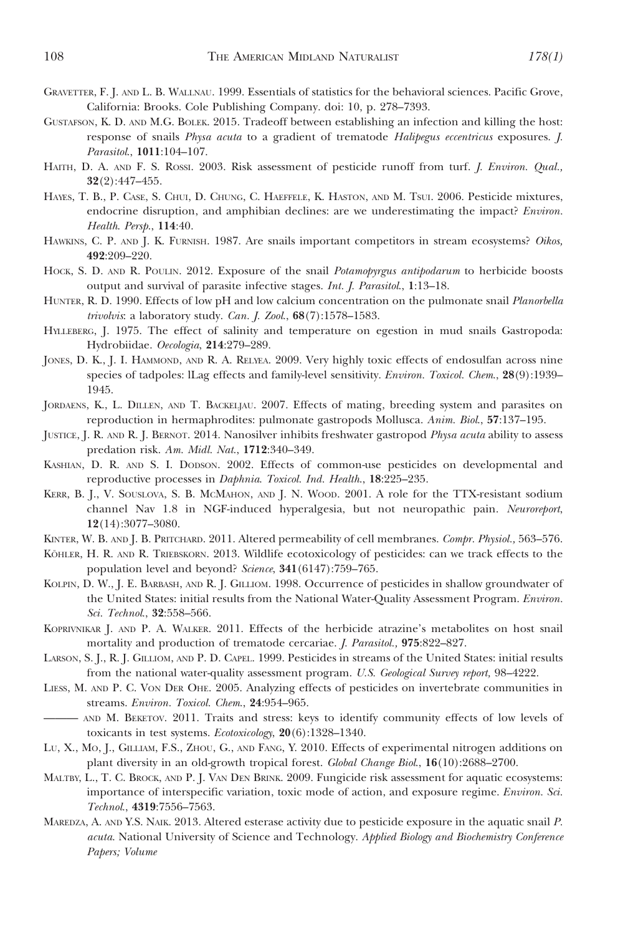- GRAVETTER, F. J. AND L. B. WALLNAU. 1999. Essentials of statistics for the behavioral sciences. Pacific Grove, California: Brooks. Cole Publishing Company. doi: 10, p. 278–7393.
- GUSTAFSON, K. D. AND M.G. BOLEK. 2015. Tradeoff between establishing an infection and killing the host: response of snails Physa acuta to a gradient of trematode Halipegus eccentricus exposures. J. Parasitol., 1011:104–107.
- HAITH, D. A. AND F. S. ROSSI. 2003. Risk assessment of pesticide runoff from turf. J. Environ. Qual., 32(2):447–455.
- HAYES, T. B., P. CASE, S. CHUI, D. CHUNG, C. HAEFFELE, K. HASTON, AND M. TSUI. 2006. Pesticide mixtures, endocrine disruption, and amphibian declines: are we underestimating the impact? *Environ*. Health. Persp., 114:40.
- HAWKINS, C. P. AND J. K. FURNISH. 1987. Are snails important competitors in stream ecosystems? Oikos, 492:209–220.
- HOCK, S. D. AND R. POULIN. 2012. Exposure of the snail Potamopyrgus antipodarum to herbicide boosts output and survival of parasite infective stages. Int. J. Parasitol., 1:13–18.
- HUNTER, R. D. 1990. Effects of low pH and low calcium concentration on the pulmonate snail Planorbella trivolvis: a laboratory study. Can. J. Zool., 68(7):1578–1583.
- HYLLEBERG, J. 1975. The effect of salinity and temperature on egestion in mud snails Gastropoda: Hydrobiidae. Oecologia, 214:279–289.
- JONES, D. K., J. I. HAMMOND, AND R. A. RELYEA. 2009. Very highly toxic effects of endosulfan across nine species of tadpoles: lLag effects and family-level sensitivity. Environ. Toxicol. Chem., 28(9):1939-1945.
- JORDAENS, K., L. DILLEN, AND T. BACKELJAU. 2007. Effects of mating, breeding system and parasites on reproduction in hermaphrodites: pulmonate gastropods Mollusca. Anim. Biol., 57:137–195.
- JUSTICE, J. R. AND R. J. BERNOT. 2014. Nanosilver inhibits freshwater gastropod Physa acuta ability to assess predation risk. Am. Midl. Nat., 1712:340–349.
- KASHIAN, D. R. AND S. I. DODSON. 2002. Effects of common-use pesticides on developmental and reproductive processes in Daphnia. Toxicol. Ind. Health., 18:225–235.
- KERR, B. J., V. SOUSLOVA, S. B. MCMAHON, AND J. N. WOOD. 2001. A role for the TTX-resistant sodium channel Nav 1.8 in NGF-induced hyperalgesia, but not neuropathic pain. Neuroreport, 12(14):3077–3080.
- KINTER, W. B. AND J. B. PRITCHARD. 2011. Altered permeability of cell membranes. Compr. Physiol., 563-576.
- KÖHLER, H. R. AND R. TRIEBSKORN. 2013. Wildlife ecotoxicology of pesticides: can we track effects to the population level and beyond? Science, 341(6147):759-765.
- KOLPIN, D. W., J. E. BARBASH, AND R. J. GILLIOM. 1998. Occurrence of pesticides in shallow groundwater of the United States: initial results from the National Water-Quality Assessment Program. Environ. Sci. Technol., 32:558–566.
- KOPRIVNIKAR J. AND P. A. WALKER. 2011. Effects of the herbicide atrazine's metabolites on host snail mortality and production of trematode cercariae. J. Parasitol., 975:822–827.
- LARSON, S. J., R. J. GILLIOM, AND P. D. CAPEL. 1999. Pesticides in streams of the United States: initial results from the national water-quality assessment program. U.S. Geological Survey report, 98–4222.
- LIESS, M. AND P. C. VON DER OHE. 2005. Analyzing effects of pesticides on invertebrate communities in streams. Environ. Toxicol. Chem., 24:954–965.
- ——— AND M. BEKETOV. 2011. Traits and stress: keys to identify community effects of low levels of toxicants in test systems. Ecotoxicology, 20(6):1328–1340.
- LU, X., MO, J., GILLIAM, F.S., ZHOU, G., AND FANG, Y. 2010. Effects of experimental nitrogen additions on plant diversity in an old-growth tropical forest. Global Change Biol., 16(10):2688–2700.
- MALTBY, L., T. C. BROCK, AND P. J. VAN DEN BRINK. 2009. Fungicide risk assessment for aquatic ecosystems: importance of interspecific variation, toxic mode of action, and exposure regime. Environ. Sci. Technol., 4319:7556–7563.
- MAREDZA, A. AND Y.S. NAIK. 2013. Altered esterase activity due to pesticide exposure in the aquatic snail P. acuta. National University of Science and Technology. Applied Biology and Biochemistry Conference Papers; Volume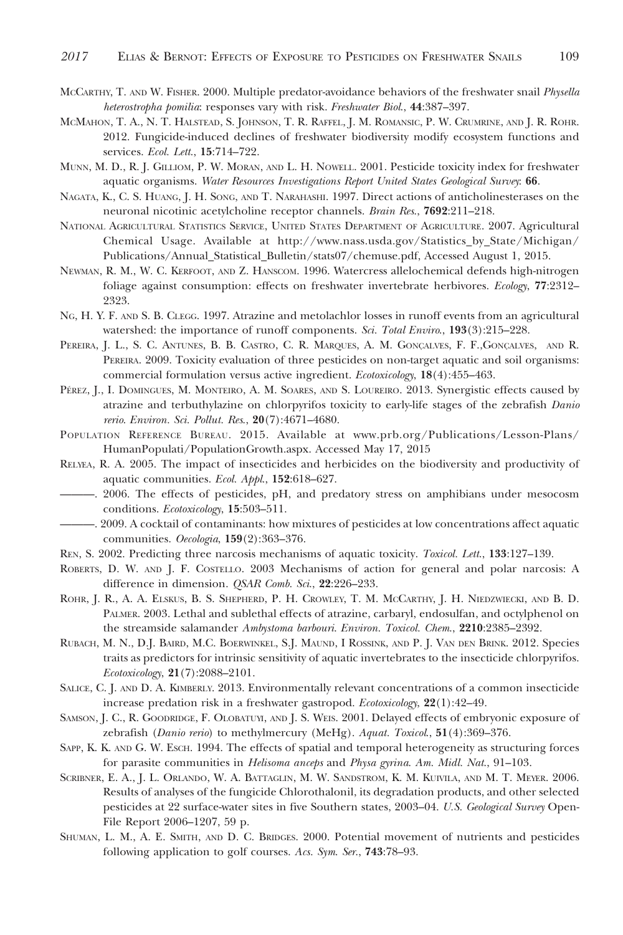- McCARTHY, T. AND W. FISHER. 2000. Multiple predator-avoidance behaviors of the freshwater snail Physella heterostropha pomilia: responses vary with risk. Freshwater Biol., 44:387-397.
- MCMAHON, T. A., N. T. HALSTEAD, S. JOHNSON, T. R. RAFFEL, J. M. ROMANSIC, P. W. CRUMRINE, AND J. R. ROHR. 2012. Fungicide-induced declines of freshwater biodiversity modify ecosystem functions and services. Ecol. Lett., 15:714-722.
- MUNN, M. D., R. J. GILLIOM, P. W. MORAN, AND L. H. NOWELL. 2001. Pesticide toxicity index for freshwater aquatic organisms. Water Resources Investigations Report United States Geological Survey: 66.
- NAGATA, K., C. S. HUANG, J. H. SONG, AND T. NARAHASHI. 1997. Direct actions of anticholinesterases on the neuronal nicotinic acetylcholine receptor channels. Brain Res., 7692:211-218.
- NATIONAL AGRICULTURAL STATISTICS SERVICE, UNITED STATES DEPARTMENT OF AGRICULTURE. 2007. Agricultural Chemical Usage. Available at http://www.nass.usda.gov/Statistics\_by\_State/Michigan/ Publications/Annual\_Statistical\_Bulletin/stats07/chemuse.pdf, Accessed August 1, 2015.
- NEWMAN, R. M., W. C. KERFOOT, AND Z. HANSCOM. 1996. Watercress allelochemical defends high-nitrogen foliage against consumption: effects on freshwater invertebrate herbivores. Ecology, 77:2312-2323.
- NG, H. Y. F. AND S. B. CLEGG. 1997. Atrazine and metolachlor losses in runoff events from an agricultural watershed: the importance of runoff components. Sci. Total Enviro., 193(3):215-228.
- PEREIRA, J. L., S. C. ANTUNES, B. B. CASTRO, C. R. MARQUES, A. M. GONÇALVES, F. F.,GONÇALVES, AND R. PEREIRA. 2009. Toxicity evaluation of three pesticides on non-target aquatic and soil organisms: commercial formulation versus active ingredient. Ecotoxicology, 18(4):455–463.
- PÉREZ, J., I. DOMINGUES, M. MONTEIRO, A. M. SOARES, AND S. LOUREIRO. 2013. Synergistic effects caused by atrazine and terbuthylazine on chlorpyrifos toxicity to early-life stages of the zebrafish Danio rerio. Environ. Sci. Pollut. Res., 20(7):4671–4680.
- POPULATION REFERENCE BUREAU. 2015. Available at www.prb.org/Publications/Lesson-Plans/ HumanPopulati/PopulationGrowth.aspx. Accessed May 17, 2015
- RELYEA, R. A. 2005. The impact of insecticides and herbicides on the biodiversity and productivity of aquatic communities. Ecol. Appl., 152:618–627.
- ———. 2006. The effects of pesticides, pH, and predatory stress on amphibians under mesocosm conditions. Ecotoxicology, 15:503–511.
- ———. 2009. A cocktail of contaminants: how mixtures of pesticides at low concentrations affect aquatic communities. Oecologia, 159(2):363–376.
- REN, S. 2002. Predicting three narcosis mechanisms of aquatic toxicity. *Toxicol. Lett.*, 133:127–139.
- ROBERTS, D. W. AND J. F. COSTELLO. 2003 Mechanisms of action for general and polar narcosis: A difference in dimension. QSAR Comb. Sci., 22:226-233.
- ROHR, J. R., A. A. ELSKUS, B. S. SHEPHERD, P. H. CROWLEY, T. M. MCCARTHY, J. H. NIEDZWIECKI, AND B. D. PALMER. 2003. Lethal and sublethal effects of atrazine, carbaryl, endosulfan, and octylphenol on the streamside salamander Ambystoma barbouri. Environ. Toxicol. Chem., 2210:2385-2392.
- RUBACH, M. N., D.J. BAIRD, M.C. BOERWINKEL, S.J. MAUND,IROSSINK, AND P. J. VAN DEN BRINK. 2012. Species traits as predictors for intrinsic sensitivity of aquatic invertebrates to the insecticide chlorpyrifos. Ecotoxicology, 21(7):2088–2101.
- SALICE, C. J. AND D. A. KIMBERLY. 2013. Environmentally relevant concentrations of a common insecticide increase predation risk in a freshwater gastropod. Ecotoxicology, 22(1):42-49.
- SAMSON, J. C., R. GOODRIDGE, F. OLOBATUYI, AND J. S. WEIS. 2001. Delayed effects of embryonic exposure of zebrafish (Danio rerio) to methylmercury (MeHg). Aquat. Toxicol., 51(4):369–376.
- SAPP, K. K. AND G. W. ESCH. 1994. The effects of spatial and temporal heterogeneity as structuring forces for parasite communities in Helisoma anceps and Physa gyrina. Am. Midl. Nat., 91–103.
- SCRIBNER, E. A., J. L. ORLANDO, W. A. BATTAGLIN, M. W. SANDSTROM, K. M. KUIVILA, AND M. T. MEYER. 2006. Results of analyses of the fungicide Chlorothalonil, its degradation products, and other selected pesticides at 22 surface-water sites in five Southern states, 2003-04. U.S. Geological Survey Open-File Report 2006–1207, 59 p.
- SHUMAN, L. M., A. E. SMITH, AND D. C. BRIDGES. 2000. Potential movement of nutrients and pesticides following application to golf courses. Acs. Sym. Ser., 743:78–93.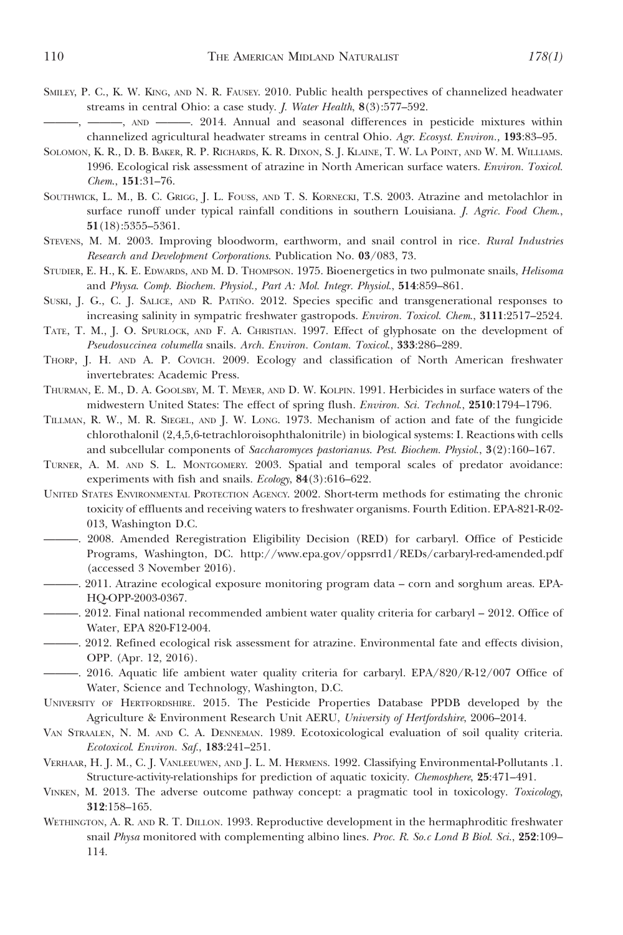- SMILEY, P. C., K. W. KING, AND N. R. FAUSEY. 2010. Public health perspectives of channelized headwater streams in central Ohio: a case study. J. Water Health, 8(3):577–592.
- ———, ———, AND ———. 2014. Annual and seasonal differences in pesticide mixtures within channelized agricultural headwater streams in central Ohio. Agr. Ecosyst. Environ., 193:83–95.
- SOLOMON, K. R., D. B. BAKER, R. P. RICHARDS, K. R. DIXON, S. J. KLAINE, T. W. LA POINT, AND W. M. WILLIAMS. 1996. Ecological risk assessment of atrazine in North American surface waters. Environ. Toxicol. Chem., 151:31–76.
- SOUTHWICK, L. M., B. C. GRIGG, J. L. FOUSS, AND T. S. KORNECKI, T.S. 2003. Atrazine and metolachlor in surface runoff under typical rainfall conditions in southern Louisiana. *J. Agric. Food Chem.*, 51(18):5355–5361.
- STEVENS, M. M. 2003. Improving bloodworm, earthworm, and snail control in rice. Rural Industries Research and Development Corporations. Publication No. 03/083, 73.
- STUDIER, E. H., K. E. EDWARDS, AND M. D. THOMPSON. 1975. Bioenergetics in two pulmonate snails, Helisoma and Physa. Comp. Biochem. Physiol., Part A: Mol. Integr. Physiol., 514:859–861.
- SUSKI, J. G., C. J. SALICE, AND R. PATINO. 2012. Species specific and transgenerational responses to increasing salinity in sympatric freshwater gastropods. Environ. Toxicol. Chem., 3111:2517–2524.
- TATE, T. M., J. O. SPURLOCK, AND F. A. CHRISTIAN. 1997. Effect of glyphosate on the development of Pseudosuccinea columella snails. Arch. Environ. Contam. Toxicol., 333:286–289.
- THORP, J. H. AND A. P. COVICH. 2009. Ecology and classification of North American freshwater invertebrates: Academic Press.
- THURMAN, E. M., D. A. GOOLSBY, M. T. MEYER, AND D. W. KOLPIN. 1991. Herbicides in surface waters of the midwestern United States: The effect of spring flush. Environ. Sci. Technol., 2510:1794–1796.
- TILLMAN, R. W., M. R. SIEGEL, AND J. W. LONG. 1973. Mechanism of action and fate of the fungicide chlorothalonil (2,4,5,6-tetrachloroisophthalonitrile) in biological systems: I. Reactions with cells and subcellular components of Saccharomyces pastorianus. Pest. Biochem. Physiol., 3(2):160–167.
- TURNER, A. M. AND S. L. MONTGOMERY. 2003. Spatial and temporal scales of predator avoidance: experiments with fish and snails. Ecology, 84(3):616–622.
- UNITED STATES ENVIRONMENTAL PROTECTION AGENCY. 2002. Short-term methods for estimating the chronic toxicity of effluents and receiving waters to freshwater organisms. Fourth Edition. EPA-821-R-02- 013, Washington D.C.
- ———. 2008. Amended Reregistration Eligibility Decision (RED) for carbaryl. Office of Pesticide Programs, Washington, DC. http://www.epa.gov/oppsrrd1/REDs/carbaryl-red-amended.pdf (accessed 3 November 2016).
- ———. 2011. Atrazine ecological exposure monitoring program data corn and sorghum areas. EPA-HQ-OPP-2003-0367.
- ———. 2012. Final national recommended ambient water quality criteria for carbaryl 2012. Office of Water, EPA 820-F12-004.
- ———. 2012. Refined ecological risk assessment for atrazine. Environmental fate and effects division, OPP. (Apr. 12, 2016).
- ———. 2016. Aquatic life ambient water quality criteria for carbaryl. EPA/820/R-12/007 Office of Water, Science and Technology, Washington, D.C.
- UNIVERSITY OF HERTFORDSHIRE. 2015. The Pesticide Properties Database PPDB developed by the Agriculture & Environment Research Unit AERU, University of Hertfordshire, 2006–2014.
- VAN STRAALEN, N. M. AND C. A. DENNEMAN. 1989. Ecotoxicological evaluation of soil quality criteria. Ecotoxicol. Environ. Saf., 183:241–251.
- VERHAAR, H. J. M., C. J. VANLEEUWEN, AND J. L. M. HERMENS. 1992. Classifying Environmental-Pollutants .1. Structure-activity-relationships for prediction of aquatic toxicity. Chemosphere, 25:471–491.
- VINKEN, M. 2013. The adverse outcome pathway concept: a pragmatic tool in toxicology. Toxicology, 312:158–165.
- WETHINGTON, A. R. AND R. T. DILLON. 1993. Reproductive development in the hermaphroditic freshwater snail Physa monitored with complementing albino lines. Proc. R. So.c Lond B Biol. Sci., 252:109– 114.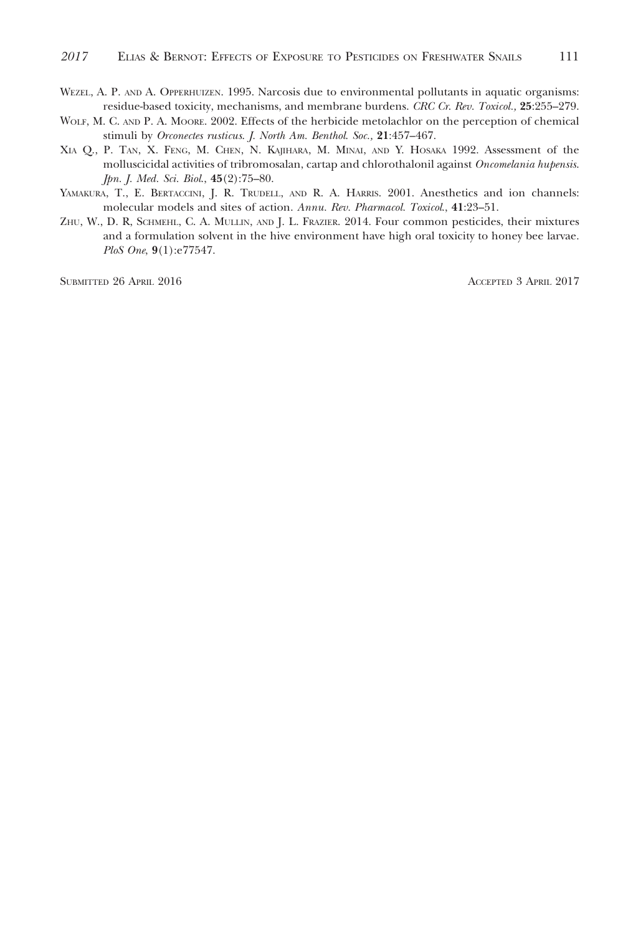- WEZEL, A. P. AND A. OPPERHUIZEN. 1995. Narcosis due to environmental pollutants in aquatic organisms: residue-based toxicity, mechanisms, and membrane burdens. CRC Cr. Rev. Toxicol., 25:255–279.
- WOLF, M. C. AND P. A. MOORE. 2002. Effects of the herbicide metolachlor on the perception of chemical stimuli by Orconectes rusticus. J. North Am. Benthol. Soc., 21:457-467.
- XIA Q., P. TAN, X. FENG, M. CHEN, N. KAJIHARA, M. MINAI, AND Y. HOSAKA 1992. Assessment of the molluscicidal activities of tribromosalan, cartap and chlorothalonil against Oncomelania hupensis. Jpn. J. Med. Sci. Biol., 45(2):75–80.
- YAMAKURA, T., E. BERTACCINI, J. R. TRUDELL, AND R. A. HARRIS. 2001. Anesthetics and ion channels: molecular models and sites of action. Annu. Rev. Pharmacol. Toxicol., 41:23–51.
- ZHU, W., D. R, SCHMEHL, C. A. MULLIN, AND J. L. FRAZIER. 2014. Four common pesticides, their mixtures and a formulation solvent in the hive environment have high oral toxicity to honey bee larvae. PloS One, 9(1):e77547.

SUBMITTED 26 APRIL 2016 ACCEPTED 3 APRIL 2017